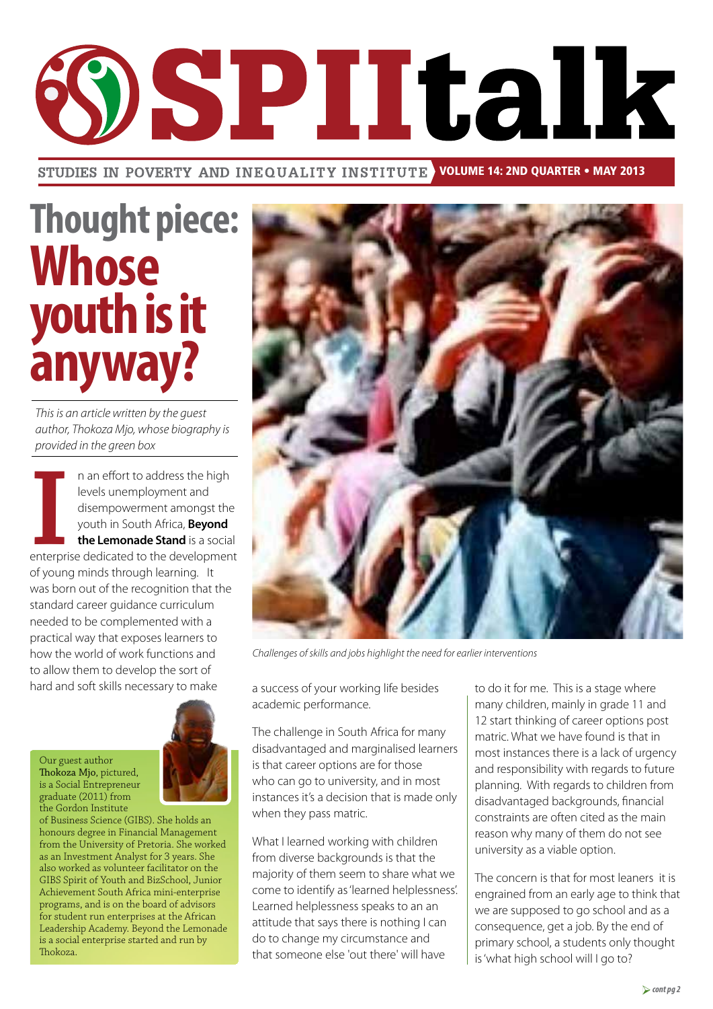

STUDIES IN POVERTY AND INEQUALITY INSTITUTE VOLUME 14: 2ND QUARTER • MAY 2013

# **Thought piece: Whose youth is it anyway?**

*This is an article written by the guest author, Thokoza Mjo, whose biography is provided in the green box*

**I**<br>enterpri n an effort to address the high levels unemployment and disempowerment amongst the youth in South Africa, **Beyond the Lemonade Stand** is a social enterprise dedicated to the development of young minds through learning. It was born out of the recognition that the standard career guidance curriculum needed to be complemented with a practical way that exposes learners to how the world of work functions and to allow them to develop the sort of hard and soft skills necessary to make

Our guest author Thokoza Mjo, pictured, is a Social Entrepreneur graduate (2011) from the Gordon Institute

of Business Science (GIBS). She holds an honours degree in Financial Management from the University of Pretoria. She worked as an Investment Analyst for 3 years. She also worked as volunteer facilitator on the GIBS Spirit of Youth and BizSchool, Junior Achievement South Africa mini-enterprise programs, and is on the board of advisors for student run enterprises at the African Leadership Academy. Beyond the Lemonade is a social enterprise started and run by Thokoza.



*Challenges of skills and jobs highlight the need for earlier interventions*

a success of your working life besides academic performance.

The challenge in South Africa for many disadvantaged and marginalised learners is that career options are for those who can go to university, and in most instances it's a decision that is made only when they pass matric.

What I learned working with children from diverse backgrounds is that the majority of them seem to share what we come to identify as 'learned helplessness'. Learned helplessness speaks to an an attitude that says there is nothing I can do to change my circumstance and that someone else 'out there' will have

to do it for me. This is a stage where many children, mainly in grade 11 and 12 start thinking of career options post matric. What we have found is that in most instances there is a lack of urgency and responsibility with regards to future planning. With regards to children from disadvantaged backgrounds, financial constraints are often cited as the main reason why many of them do not see university as a viable option.

The concern is that for most leaners it is engrained from an early age to think that we are supposed to go school and as a consequence, get a job. By the end of primary school, a students only thought is 'what high school will I go to?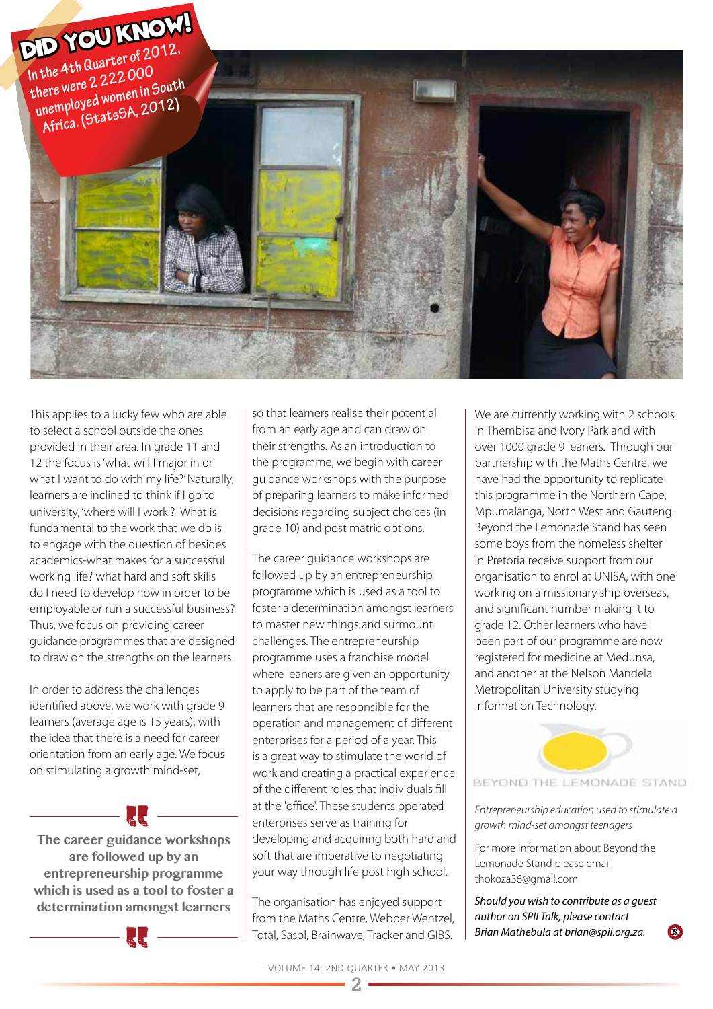

This applies to a lucky few who are able to select a school outside the ones provided in their area. In grade 11 and 12 the focus is 'what will I major in or what I want to do with my life?' Naturally, learners are inclined to think if I go to university, 'where will I work'? What is fundamental to the work that we do is to engage with the question of besides academics-what makes for a successful working life? what hard and soft skills do I need to develop now in order to be employable or run a successful business? Thus, we focus on providing career guidance programmes that are designed to draw on the strengths on the learners.

In order to address the challenges identified above, we work with grade 9 learners (average age is 15 years), with the idea that there is a need for career orientation from an early age. We focus on stimulating a growth mind-set,

**The career guidance workshops are followed up by an entrepreneurship programme which is used as a tool to foster a determination amongst learners**

so that learners realise their potential from an early age and can draw on their strengths. As an introduction to the programme, we begin with career guidance workshops with the purpose of preparing learners to make informed decisions regarding subject choices (in grade 10) and post matric options.

The career guidance workshops are followed up by an entrepreneurship programme which is used as a tool to foster a determination amongst learners to master new things and surmount challenges. The entrepreneurship programme uses a franchise model where leaners are given an opportunity to apply to be part of the team of learners that are responsible for the operation and management of different enterprises for a period of a year. This is a great way to stimulate the world of work and creating a practical experience of the different roles that individuals fill at the 'office'. These students operated enterprises serve as training for developing and acquiring both hard and soft that are imperative to negotiating your way through life post high school.

The organisation has enjoyed support from the Maths Centre, Webber Wentzel, Total, Sasol, Brainwave, Tracker and GIBS.

We are currently working with 2 schools in Thembisa and Ivory Park and with over 1000 grade 9 leaners. Through our partnership with the Maths Centre, we have had the opportunity to replicate this programme in the Northern Cape, Mpumalanga, North West and Gauteng. Beyond the Lemonade Stand has seen some boys from the homeless shelter in Pretoria receive support from our organisation to enrol at UNISA, with one working on a missionary ship overseas, and significant number making it to grade 12. Other learners who have been part of our programme are now registered for medicine at Medunsa, and another at the Nelson Mandela Metropolitan University studying Information Technology.



*Entrepreneurship education used to stimulate a growth mind-set amongst teenagers*

For more information about Beyond the Lemonade Stand please email thokoza36@gmail.com

*Should you wish to contribute as a guest author on SPII Talk, please contact Brian Mathebula at brian@spii.org.za.*

```
2
```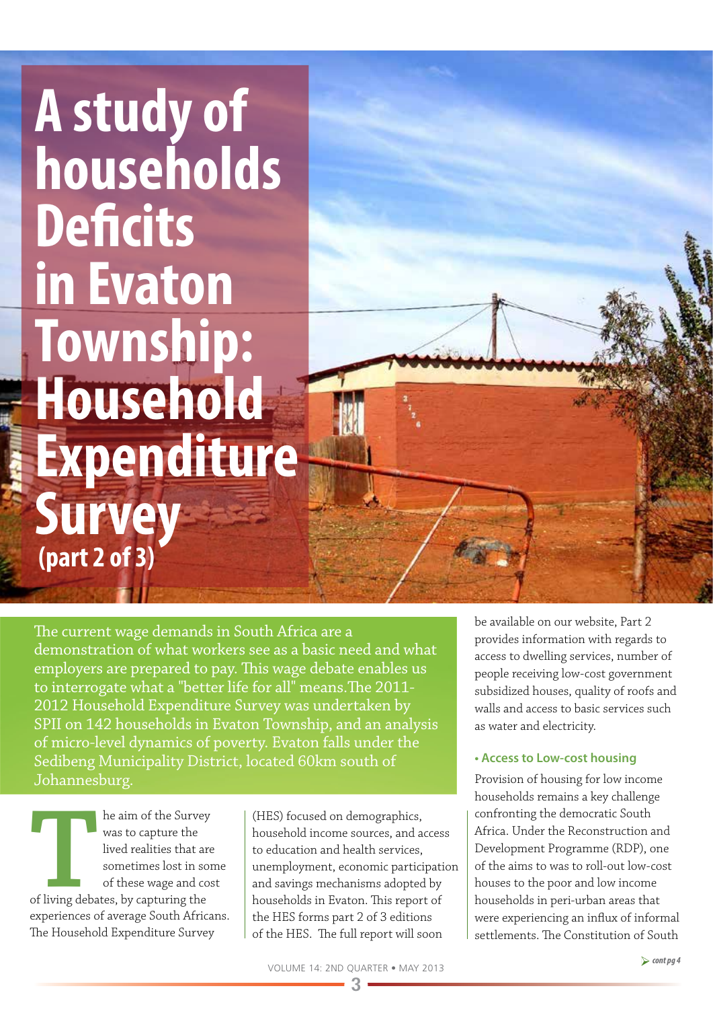# **A study of households Deficits in Evaton Township: Household Expenditure Survey (part 2 of 3)**

The current wage demands in South Africa are a demonstration of what workers see as a basic need and what employers are prepared to pay. This wage debate enables us to interrogate what a "better life for all" means.The 2011- 2012 Household Expenditure Survey was undertaken by SPII on 142 households in Evaton Township, and an analysis of micro-level dynamics of poverty. Evaton falls under the Sedibeng Municipality District, located 60km south of Johannesburg.

**THE ALTER ISLE ISLE ISLE THE ALTER ISLE ISLE THE ALTER ISLE ISLE THE SURVEY OF THE SURVEYORD OF THE APPRIMED SUPPLY OF THE SUPPLY OF THE SUPPLY OF THE SUPPLY OF THE SUPPLY OF THE SUPPLY OF THE SUPPLY OF THE SUPPLY OF THE** was to capture the lived realities that are sometimes lost in some of these wage and cost of living debates, by capturing the experiences of average South Africans. The Household Expenditure Survey

(HES) focused on demographics, household income sources, and access to education and health services, unemployment, economic participation and savings mechanisms adopted by households in Evaton. This report of the HES forms part 2 of 3 editions of the HES. The full report will soon

be available on our website, Part 2 provides information with regards to access to dwelling services, number of people receiving low-cost government subsidized houses, quality of roofs and walls and access to basic services such as water and electricity.

### **• Access to Low-cost housing**

Provision of housing for low income households remains a key challenge confronting the democratic South Africa. Under the Reconstruction and Development Programme (RDP), one of the aims to was to roll-out low-cost houses to the poor and low income households in peri-urban areas that were experiencing an influx of informal settlements. The Constitution of South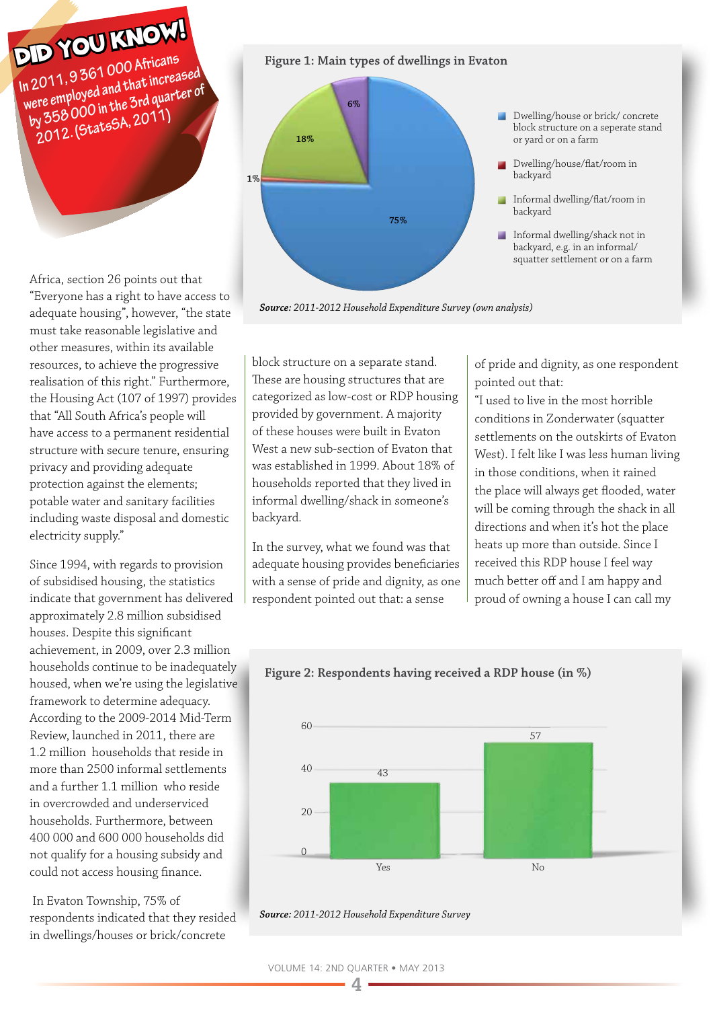# DID YOU KNOW!

**In 2011, 9 361 000 Africans were employed and that increased by 358 000 in the 3rd quarter of 2012. (StatsSA, 2011)**

**Figure 1: Main types of dwellings in Evaton**

*Source: 2011-2012 Household Expenditure Survey (own analysis)* 



Africa, section 26 points out that "Everyone has a right to have access to adequate housing", however, "the state must take reasonable legislative and other measures, within its available resources, to achieve the progressive realisation of this right." Furthermore, the Housing Act (107 of 1997) provides that "All South Africa's people will have access to a permanent residential structure with secure tenure, ensuring privacy and providing adequate protection against the elements; potable water and sanitary facilities including waste disposal and domestic electricity supply."

Since 1994, with regards to provision of subsidised housing, the statistics indicate that government has delivered approximately 2.8 million subsidised houses. Despite this significant achievement, in 2009, over 2.3 million households continue to be inadequately housed, when we're using the legislative framework to determine adequacy. According to the 2009-2014 Mid-Term Review, launched in 2011, there are 1.2 million households that reside in more than 2500 informal settlements and a further 1.1 million who reside in overcrowded and underserviced households. Furthermore, between 400 000 and 600 000 households did not qualify for a housing subsidy and could not access housing finance.

 In Evaton Township, 75% of respondents indicated that they resided in dwellings/houses or brick/concrete

block structure on a separate stand. These are housing structures that are categorized as low-cost or RDP housing provided by government. A majority of these houses were built in Evaton West a new sub-section of Evaton that was established in 1999. About 18% of households reported that they lived in informal dwelling/shack in someone's backyard.

In the survey, what we found was that adequate housing provides beneficiaries with a sense of pride and dignity, as one respondent pointed out that: a sense

of pride and dignity, as one respondent pointed out that:

"I used to live in the most horrible conditions in Zonderwater (squatter settlements on the outskirts of Evaton West). I felt like I was less human living in those conditions, when it rained the place will always get flooded, water will be coming through the shack in all directions and when it's hot the place heats up more than outside. Since I received this RDP house I feel way much better off and I am happy and proud of owning a house I can call my



**Figure 2: Respondents having received a RDP house (in %)**

*Source: 2011-2012 Household Expenditure Survey*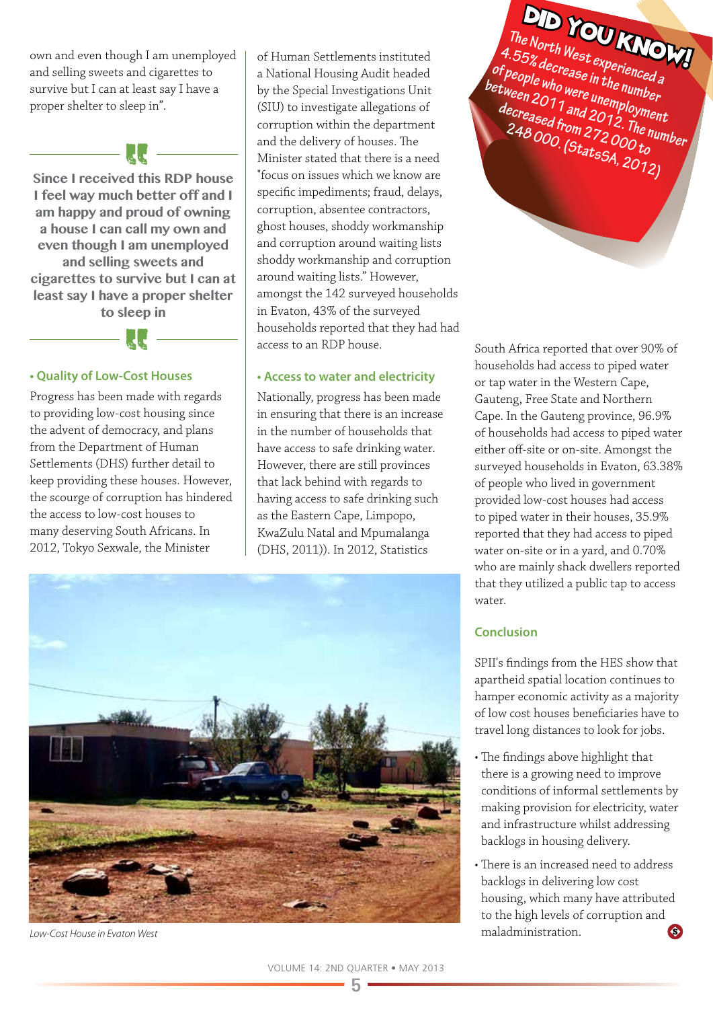own and even though I am unemployed and selling sweets and cigarettes to survive but I can at least say I have a proper shelter to sleep in".

 $\mathbb{R}$   $\mathbb{R}$   $\mathbb{R}$ 

**Since I received this RDP house I feel way much better off and I am happy and proud of owning a house I can call my own and even though I am unemployed and selling sweets and cigarettes to survive but I can at least say I have a proper shelter to sleep in**



### **• Quality of Low-Cost Houses**

Progress has been made with regards to providing low-cost housing since the advent of democracy, and plans from the Department of Human Settlements (DHS) further detail to keep providing these houses. However, the scourge of corruption has hindered the access to low-cost houses to many deserving South Africans. In 2012, Tokyo Sexwale, the Minister

of Human Settlements instituted a National Housing Audit headed by the Special Investigations Unit (SIU) to investigate allegations of corruption within the department and the delivery of houses. The Minister stated that there is a need "focus on issues which we know are specific impediments; fraud, delays, corruption, absentee contractors, ghost houses, shoddy workmanship and corruption around waiting lists shoddy workmanship and corruption around waiting lists." However, amongst the 142 surveyed households in Evaton, 43% of the surveyed households reported that they had had access to an RDP house.

### **• Access to water and electricity**

Nationally, progress has been made in ensuring that there is an increase in the number of households that have access to safe drinking water. However, there are still provinces that lack behind with regards to having access to safe drinking such as the Eastern Cape, Limpopo, KwaZulu Natal and Mpumalanga (DHS, 2011)). In 2012, Statistics



*Low-Cost House in Evaton West*

South Africa reported that over 90% of households had access to piped water or tap water in the Western Cape,

**The North West experienced a** 

DID YOU KNOW!

4.55% decrease in the number<br>of people who were unemployment<br>decreased from 2012. The num<br>decreased from 272 000 to **of people who were unemployment** 

between 2011 and 2012. The number<br>decreased from 272. The number<br>248 000. (States , 00 to

**248 000. (StatsSA, 2012)**

Gauteng, Free State and Northern Cape. In the Gauteng province, 96.9% of households had access to piped water either off-site or on-site. Amongst the surveyed households in Evaton, 63.38% of people who lived in government provided low-cost houses had access to piped water in their houses, 35.9% reported that they had access to piped water on-site or in a yard, and 0.70% who are mainly shack dwellers reported that they utilized a public tap to access water.

### **Conclusion**

SPII's findings from the HES show that apartheid spatial location continues to hamper economic activity as a majority of low cost houses beneficiaries have to travel long distances to look for jobs.

- The findings above highlight that there is a growing need to improve conditions of informal settlements by making provision for electricity, water and infrastructure whilst addressing backlogs in housing delivery.
- There is an increased need to address backlogs in delivering low cost housing, which many have attributed to the high levels of corruption and maladministration.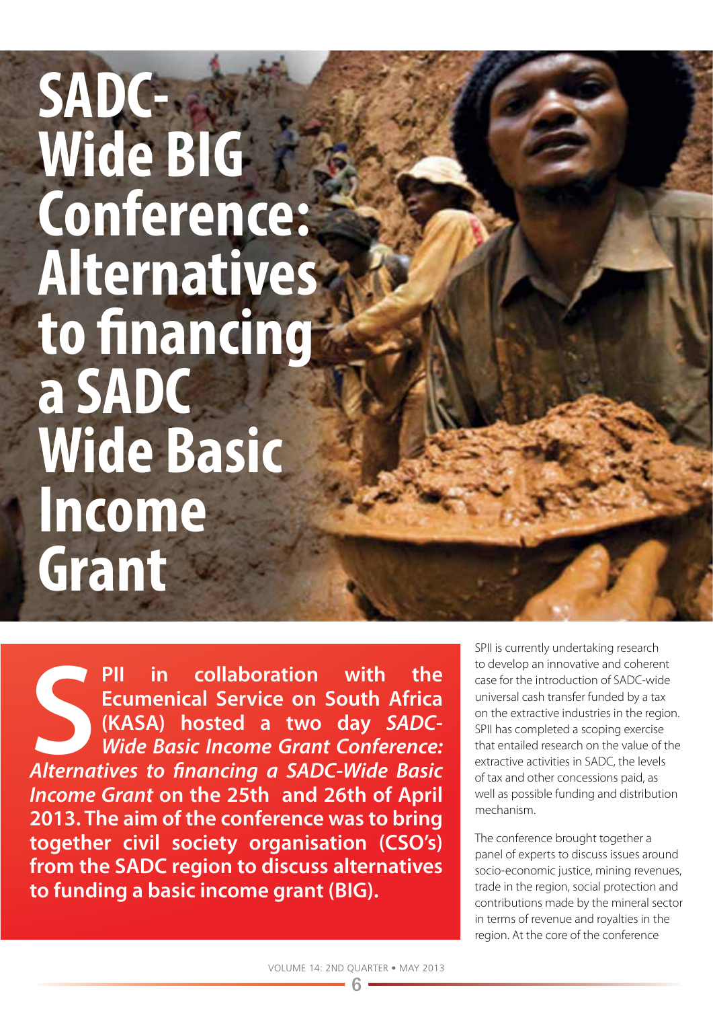# **SADC-Wide BIG Conference: Alternatives to financing a SADC Wide Basic Income Grant**

**S**<br>Alterna **PII in collaboration with the Ecumenical Service on South Africa (KASA) hosted a two day** *SADC-Wide Basic Income Grant Conference: Alternatives to financing a SADC-Wide Basic Income Grant* **on the 25th and 26th of April 2013. The aim of the conference was to bring together civil society organisation (CSO's) from the SADC region to discuss alternatives to funding a basic income grant (BIG).** 

SPII is currently undertaking research to develop an innovative and coherent case for the introduction of SADC-wide universal cash transfer funded by a tax on the extractive industries in the region. SPII has completed a scoping exercise that entailed research on the value of the extractive activities in SADC, the levels of tax and other concessions paid, as well as possible funding and distribution mechanism.

The conference brought together a panel of experts to discuss issues around socio-economic justice, mining revenues, trade in the region, social protection and contributions made by the mineral sector in terms of revenue and royalties in the region. At the core of the conference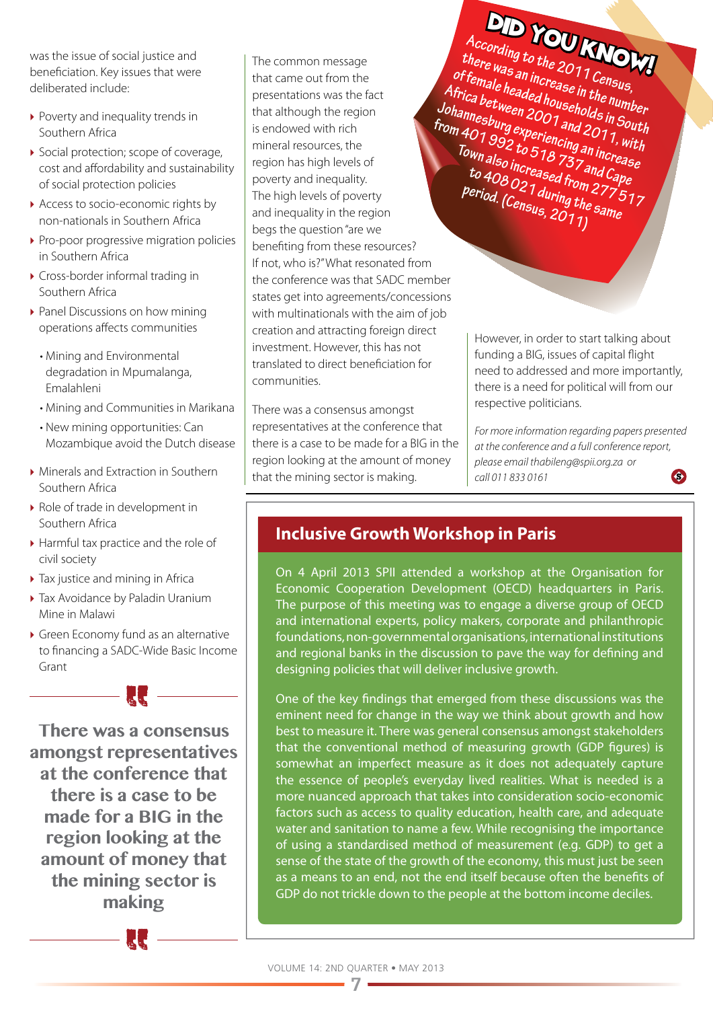was the issue of social justice and beneficiation. Key issues that were deliberated include:

- ▶ Poverty and inequality trends in Southern Africa
- ▶ Social protection: scope of coverage, cost and affordability and sustainability of social protection policies
- Access to socio-economic rights by non-nationals in Southern Africa
- ▶ Pro-poor progressive migration policies in Southern Africa
- ▶ Cross-border informal trading in Southern Africa
- ▶ Panel Discussions on how mining operations affects communities
	- Mining and Environmental degradation in Mpumalanga, Emalahleni
	- Mining and Communities in Marikana
	- New mining opportunities: Can Mozambique avoid the Dutch disease
- ▶ Minerals and Extraction in Southern Southern Africa
- ▶ Role of trade in development in Southern Africa
- ▶ Harmful tax practice and the role of civil society
- ▶ Tax justice and mining in Africa
- ▶ Tax Avoidance by Paladin Uranium Mine in Malawi
- } Green Economy fund as an alternative to financing a SADC-Wide Basic Income Grant

— **II** ——

**There was a consensus amongst representatives at the conference that there is a case to be made for a BIG in the region looking at the amount of money that the mining sector is making**



The common message that came out from the presentations was the fact that although the region is endowed with rich mineral resources, the region has high levels of poverty and inequality. The high levels of poverty and inequality in the region begs the question "are we benefiting from these resources? If not, who is?" What resonated from the conference was that SADC member states get into agreements/concessions with multinationals with the aim of job creation and attracting foreign direct investment. However, this has not translated to direct beneficiation for communities.

There was a consensus amongst representatives at the conference that there is a case to be made for a BIG in the region looking at the amount of money that the mining sector is making.

**According to the 2011 Census, there was an increase in the number of female headed households in South**  Africa between 2001 and 2011, with **Johannesburg experiencing an increase from 401 992 to 518 737 and Cape Town also increased from 277 517 to 408 021 during the same period. (Census, 2011)**  DID YOU KNOW!

> However, in order to start talking about funding a BIG, issues of capital flight need to addressed and more importantly, there is a need for political will from our respective politicians.

*For more information regarding papers presented at the conference and a full conference report, please email thabileng@spii.org.za or call 011 833 0161*  $\bullet$ 

## **Inclusive Growth Workshop in Paris**

On 4 April 2013 SPII attended a workshop at the Organisation for Economic Cooperation Development (OECD) headquarters in Paris. The purpose of this meeting was to engage a diverse group of OECD and international experts, policy makers, corporate and philanthropic foundations, non-governmental organisations, international institutions and regional banks in the discussion to pave the way for defining and designing policies that will deliver inclusive growth.

One of the key findings that emerged from these discussions was the eminent need for change in the way we think about growth and how best to measure it. There was general consensus amongst stakeholders that the conventional method of measuring growth (GDP figures) is somewhat an imperfect measure as it does not adequately capture the essence of people's everyday lived realities. What is needed is a more nuanced approach that takes into consideration socio-economic factors such as access to quality education, health care, and adequate water and sanitation to name a few. While recognising the importance of using a standardised method of measurement (e.g. GDP) to get a sense of the state of the growth of the economy, this must just be seen as a means to an end, not the end itself because often the benefits of GDP do not trickle down to the people at the bottom income deciles.